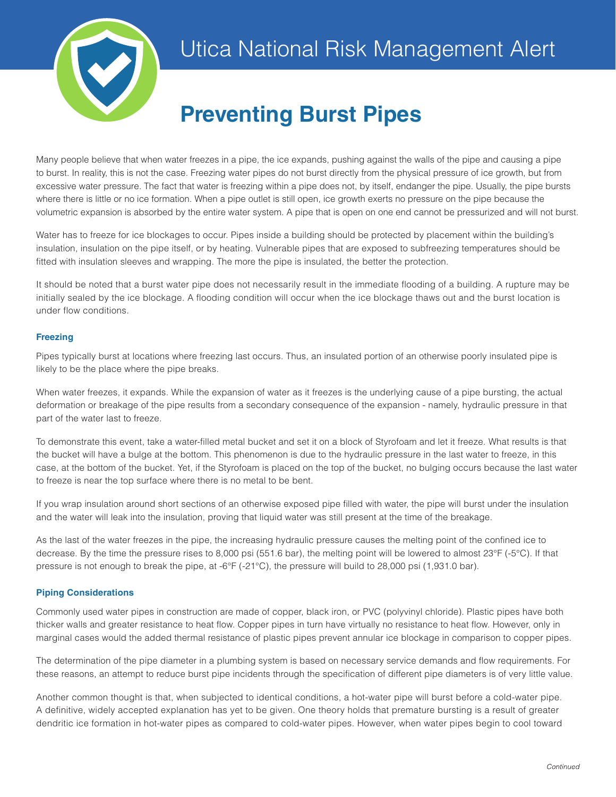

# **Preventing Burst Pipes**

Many people believe that when water freezes in a pipe, the ice expands, pushing against the walls of the pipe and causing a pipe to burst. In reality, this is not the case. Freezing water pipes do not burst directly from the physical pressure of ice growth, but from excessive water pressure. The fact that water is freezing within a pipe does not, by itself, endanger the pipe. Usually, the pipe bursts where there is little or no ice formation. When a pipe outlet is still open, ice growth exerts no pressure on the pipe because the volumetric expansion is absorbed by the entire water system. A pipe that is open on one end cannot be pressurized and will not burst.

Water has to freeze for ice blockages to occur. Pipes inside a building should be protected by placement within the building's insulation, insulation on the pipe itself, or by heating. Vulnerable pipes that are exposed to subfreezing temperatures should be fitted with insulation sleeves and wrapping. The more the pipe is insulated, the better the protection.

It should be noted that a burst water pipe does not necessarily result in the immediate flooding of a building. A rupture may be initially sealed by the ice blockage. A flooding condition will occur when the ice blockage thaws out and the burst location is under flow conditions.

## **Freezing**

Pipes typically burst at locations where freezing last occurs. Thus, an insulated portion of an otherwise poorly insulated pipe is likely to be the place where the pipe breaks.

When water freezes, it expands. While the expansion of water as it freezes is the underlying cause of a pipe bursting, the actual deformation or breakage of the pipe results from a secondary consequence of the expansion - namely, hydraulic pressure in that part of the water last to freeze.

To demonstrate this event, take a water-filled metal bucket and set it on a block of Styrofoam and let it freeze. What results is that the bucket will have a bulge at the bottom. This phenomenon is due to the hydraulic pressure in the last water to freeze, in this case, at the bottom of the bucket. Yet, if the Styrofoam is placed on the top of the bucket, no bulging occurs because the last water to freeze is near the top surface where there is no metal to be bent.

If you wrap insulation around short sections of an otherwise exposed pipe filled with water, the pipe will burst under the insulation and the water will leak into the insulation, proving that liquid water was still present at the time of the breakage.

As the last of the water freezes in the pipe, the increasing hydraulic pressure causes the melting point of the confined ice to decrease. By the time the pressure rises to 8,000 psi (551.6 bar), the melting point will be lowered to almost 23°F (-5°C). If that pressure is not enough to break the pipe, at -6°F (-21°C), the pressure will build to 28,000 psi (1,931.0 bar).

## **Piping Considerations**

Commonly used water pipes in construction are made of copper, black iron, or PVC (polyvinyl chloride). Plastic pipes have both thicker walls and greater resistance to heat flow. Copper pipes in turn have virtually no resistance to heat flow. However, only in marginal cases would the added thermal resistance of plastic pipes prevent annular ice blockage in comparison to copper pipes.

The determination of the pipe diameter in a plumbing system is based on necessary service demands and flow requirements. For these reasons, an attempt to reduce burst pipe incidents through the specification of different pipe diameters is of very little value.

Another common thought is that, when subjected to identical conditions, a hot-water pipe will burst before a cold-water pipe. A definitive, widely accepted explanation has yet to be given. One theory holds that premature bursting is a result of greater dendritic ice formation in hot-water pipes as compared to cold-water pipes. However, when water pipes begin to cool toward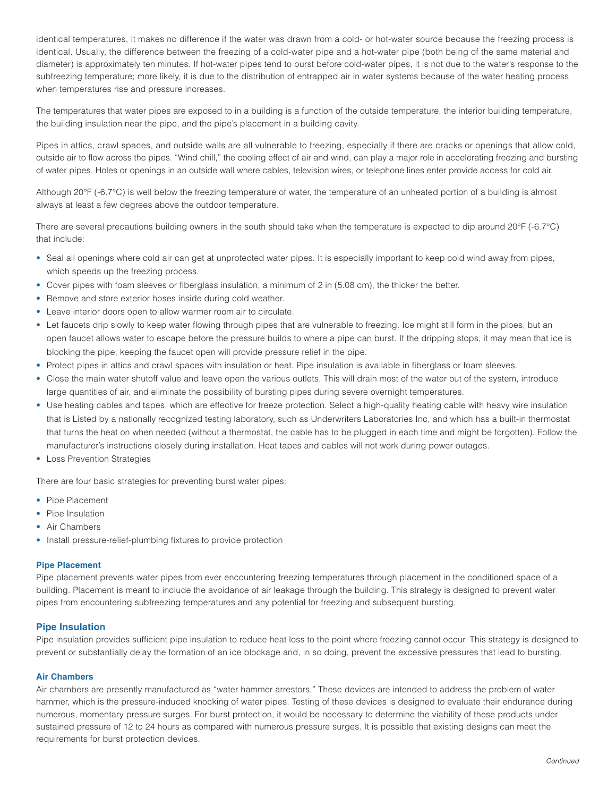identical temperatures, it makes no difference if the water was drawn from a cold- or hot-water source because the freezing process is identical. Usually, the difference between the freezing of a cold-water pipe and a hot-water pipe (both being of the same material and diameter) is approximately ten minutes. If hot-water pipes tend to burst before cold-water pipes, it is not due to the water's response to the subfreezing temperature; more likely, it is due to the distribution of entrapped air in water systems because of the water heating process when temperatures rise and pressure increases.

The temperatures that water pipes are exposed to in a building is a function of the outside temperature, the interior building temperature, the building insulation near the pipe, and the pipe's placement in a building cavity.

Pipes in attics, crawl spaces, and outside walls are all vulnerable to freezing, especially if there are cracks or openings that allow cold, outside air to flow across the pipes. "Wind chill," the cooling effect of air and wind, can play a major role in accelerating freezing and bursting of water pipes. Holes or openings in an outside wall where cables, television wires, or telephone lines enter provide access for cold air.

Although 20°F (-6.7°C) is well below the freezing temperature of water, the temperature of an unheated portion of a building is almost always at least a few degrees above the outdoor temperature.

There are several precautions building owners in the south should take when the temperature is expected to dip around 20°F (-6.7°C) that include:

- Seal all openings where cold air can get at unprotected water pipes. It is especially important to keep cold wind away from pipes, which speeds up the freezing process.
- Cover pipes with foam sleeves or fiberglass insulation, a minimum of 2 in (5.08 cm), the thicker the better.
- Remove and store exterior hoses inside during cold weather.
- Leave interior doors open to allow warmer room air to circulate.
- Let faucets drip slowly to keep water flowing through pipes that are vulnerable to freezing. Ice might still form in the pipes, but an open faucet allows water to escape before the pressure builds to where a pipe can burst. If the dripping stops, it may mean that ice is blocking the pipe; keeping the faucet open will provide pressure relief in the pipe.
- Protect pipes in attics and crawl spaces with insulation or heat. Pipe insulation is available in fiberglass or foam sleeves.
- Close the main water shutoff value and leave open the various outlets. This will drain most of the water out of the system, introduce large quantities of air, and eliminate the possibility of bursting pipes during severe overnight temperatures.
- Use heating cables and tapes, which are effective for freeze protection. Select a high-quality heating cable with heavy wire insulation that is Listed by a nationally recognized testing laboratory, such as Underwriters Laboratories Inc, and which has a built-in thermostat that turns the heat on when needed (without a thermostat, the cable has to be plugged in each time and might be forgotten). Follow the manufacturer's instructions closely during installation. Heat tapes and cables will not work during power outages.
- Loss Prevention Strategies

There are four basic strategies for preventing burst water pipes:

- Pipe Placement
- Pipe Insulation
- Air Chambers
- Install pressure-relief-plumbing fixtures to provide protection

#### **Pipe Placement**

Pipe placement prevents water pipes from ever encountering freezing temperatures through placement in the conditioned space of a building. Placement is meant to include the avoidance of air leakage through the building. This strategy is designed to prevent water pipes from encountering subfreezing temperatures and any potential for freezing and subsequent bursting.

#### **Pipe Insulation**

Pipe insulation provides sufficient pipe insulation to reduce heat loss to the point where freezing cannot occur. This strategy is designed to prevent or substantially delay the formation of an ice blockage and, in so doing, prevent the excessive pressures that lead to bursting.

#### **Air Chambers**

Air chambers are presently manufactured as "water hammer arrestors." These devices are intended to address the problem of water hammer, which is the pressure-induced knocking of water pipes. Testing of these devices is designed to evaluate their endurance during numerous, momentary pressure surges. For burst protection, it would be necessary to determine the viability of these products under sustained pressure of 12 to 24 hours as compared with numerous pressure surges. It is possible that existing designs can meet the requirements for burst protection devices.